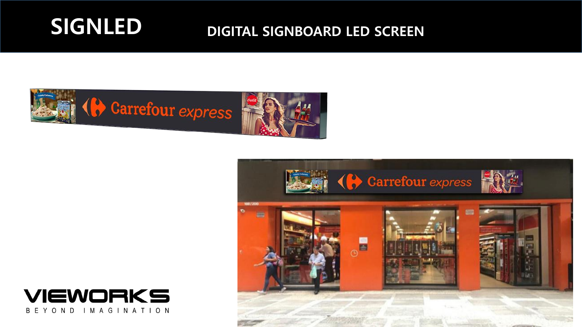# SIGNLED DIGITAL SIGNBOARD LED SCREEN



**IEWORKS** 

YOND IMAGINATION

B F

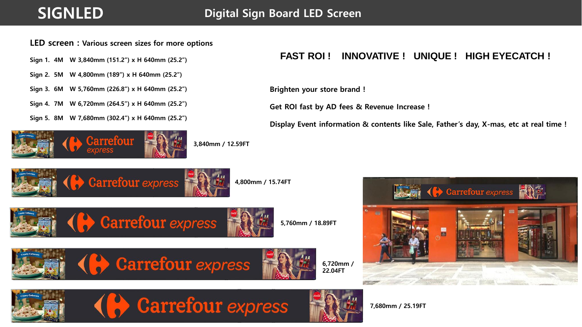### LED screen : Various screen sizes for more options

Sign 1. 4M W 3,840mm (151.2") x H 640mm (25.2")

Sign 2. 5M W 4,800mm (189") x H 640mm (25.2")

Sign 3. 6M W 5,760mm (226.8") x H 640mm (25.2")

Sign 4. 7M W 6,720mm (264.5") x H 640mm (25.2")

Sign 5. 8M W 7,680mm (302.4") x H 640mm (25.2")



### **FAST ROI ! INNOVATIVE ! UNIQUE ! HIGH EYECATCH !**

Brighten your store brand !

Get ROI fast by AD fees & Revenue Increase !

Display Event information & contents like Sale, Father's day, X-mas, etc at real time !



4,800mm / 15.74FT



5,760mm / 18.89FT













7,680mm / 25.19FT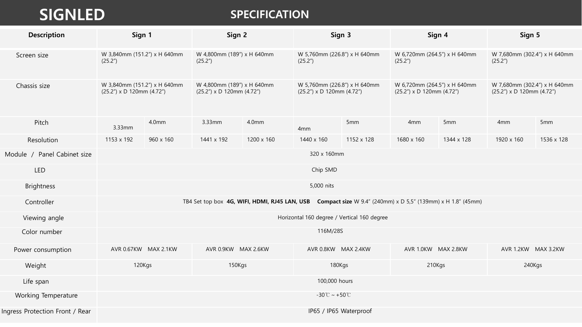## **SIGNLED** SPECIFICATION SPECIFICATION

| <b>Description</b>              | Sign 1                                                                                                     |                      | Sign 2                                                        |            | Sign 3                                                          |            | Sign 4                                                        |                 | Sign 5                                                          |            |
|---------------------------------|------------------------------------------------------------------------------------------------------------|----------------------|---------------------------------------------------------------|------------|-----------------------------------------------------------------|------------|---------------------------------------------------------------|-----------------|-----------------------------------------------------------------|------------|
| Screen size                     | W 3,840mm (151.2") x H 640mm<br>(25.2")                                                                    |                      | W 4,800mm (189") x H 640mm<br>(25.2")                         |            | W 5,760mm (226.8") x H 640mm<br>(25.2")                         |            | W 6,720mm (264.5") x H 640mm<br>(25.2")                       |                 | W 7,680mm (302.4") x H 640mm<br>(25.2")                         |            |
| Chassis size                    | W 3,840mm (151.2") x H 640mm<br>$(25.2'')$ x D 120mm $(4.72'')$                                            |                      | W 4,800mm (189") x H 640mm<br>$(25.2'')$ x D 120mm $(4.72'')$ |            | W 5,760mm (226.8") x H 640mm<br>$(25.2'')$ x D 120mm $(4.72'')$ |            | W 6,720mm (264.5") x H 640mm<br>$(25.2")$ x D 120mm $(4.72")$ |                 | W 7,680mm (302.4") x H 640mm<br>$(25.2'')$ x D 120mm $(4.72'')$ |            |
| Pitch                           | 3.33mm                                                                                                     | 4.0 <sub>mm</sub>    | 3.33mm                                                        | 4.0mm      | 4 <sub>mm</sub>                                                 | 5mm        | 4 <sub>mm</sub>                                               | 5 <sub>mm</sub> | 4 <sub>mm</sub>                                                 | 5mm        |
| Resolution                      | 1153 x 192                                                                                                 | 960 x 160            | 1441 x 192                                                    | 1200 x 160 | 1440 x 160                                                      | 1152 x 128 | 1680 x 160                                                    | 1344 x 128      | 1920 x 160                                                      | 1536 x 128 |
| Module / Panel Cabinet size     | 320 x 160mm                                                                                                |                      |                                                               |            |                                                                 |            |                                                               |                 |                                                                 |            |
| <b>LED</b>                      | Chip SMD                                                                                                   |                      |                                                               |            |                                                                 |            |                                                               |                 |                                                                 |            |
| <b>Brightness</b>               | 5,000 nits                                                                                                 |                      |                                                               |            |                                                                 |            |                                                               |                 |                                                                 |            |
| Controller                      | TB4 Set top box 4G, WIFI, HDMI, RJ45 LAN, USB Compact size W 9.4" (240mm) x D 5,5" (139mm) x H 1.8" (45mm) |                      |                                                               |            |                                                                 |            |                                                               |                 |                                                                 |            |
| Viewing angle                   | Horizontal 160 degree / Vertical 160 degree                                                                |                      |                                                               |            |                                                                 |            |                                                               |                 |                                                                 |            |
| Color number                    | 116M/28S                                                                                                   |                      |                                                               |            |                                                                 |            |                                                               |                 |                                                                 |            |
| Power consumption               |                                                                                                            | AVR 0.67KW MAX 2.1KW | AVR 0.9KW MAX 2.6KW                                           |            | AVR 0.8KW MAX 2.4KW                                             |            | AVR 1.0KW MAX 2.8KW                                           |                 | AVR 1.2KW MAX 3.2KW                                             |            |
| Weight                          | 120Kgs                                                                                                     |                      | 150Kgs                                                        |            | 180Kgs                                                          |            | 210Kgs                                                        |                 | 240Kgs                                                          |            |
| Life span                       | 100,000 hours                                                                                              |                      |                                                               |            |                                                                 |            |                                                               |                 |                                                                 |            |
| Working Temperature             | $-30^{\circ}$ C ~ $+50^{\circ}$ C                                                                          |                      |                                                               |            |                                                                 |            |                                                               |                 |                                                                 |            |
| Ingress Protection Front / Rear | IP65 / IP65 Waterproof                                                                                     |                      |                                                               |            |                                                                 |            |                                                               |                 |                                                                 |            |